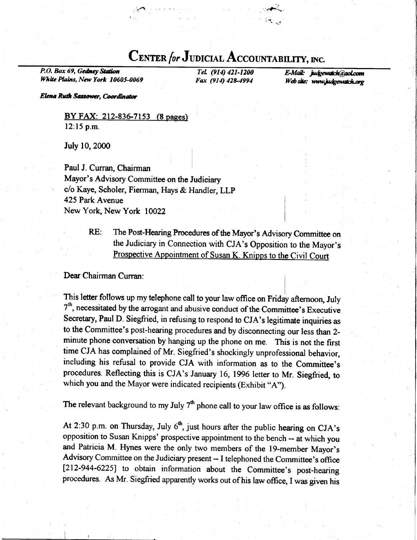# CENTER for JUDICIAL ACCOUNTABILITY, INC.

 $:$  $\mathcal{C}$ 

P.O. Box 69, Gedney Station White Plains, New York 10605-0069

TeL (914) 421-1200 Fax (914) 428-4994

E-Mail: judgewatch@aol.com Web site: www.judgewatch.org

Elena Ruth Sassower, Coordinator

BY FAX: 212-836-7153 (8 pages) 12:15 p.m.

July 10,2000

Paul J. Curran, Chairman Mayor's Advisory Committee on the Judiciary c/o Kaye, Scholer, Fierman, Hays & Handler, LLP 425 Park Avenue New York, New York 10022

> RE: The Post-Hearing Procedures of the Mayor's Advisory committee on the Judiciary in Connection with CJA's Opposition to the Mayor's Prospective Appointment of Susan K. Knipps to the Civil Court

Dear Chairman Curran:

This letter follows up my telephone call to your law office on Friday afternoon, July  $7<sup>th</sup>$ , necessitated by the arrogant and abusive conduct of the Committee's Executive Secretary, Paul D. Siegfried, in refusing to respond to CJA's legitimate inquiries as to the Committee's post-hearing procedures and by disconnecting our less than 2 minute phone conversation by hanging up the phone on me. This is not the first time CJA has complained of Mr. Siegfried's shockingly unprofessional behavior, including his refusal to provide CJA with information as to the Committee's procedures. Reflecting this is CJA's January 16, 1996 letter to Mr. Siegfried, to which you and the Mayor were indicated recipients (Exhibit "A").

The relevant background to my July  $7<sup>th</sup>$  phone call to your law office is as follows:

At 2:30 p.m. on Thursday, July  $6<sup>th</sup>$ , just hours after the public hearing on CJA's opposition to Susan Knipps' prospective appointment to the bench -- at which you and Patricia M. Hynes were the only two members of the 19-member Mayor's Advisory Committee on the Judiciary present -- I telephoned the Committee's office [212-944-6225] to obtain information about the Committee's post-hearing procedures. As Mr. Siegfried apparently works out of his law offrce, I was given his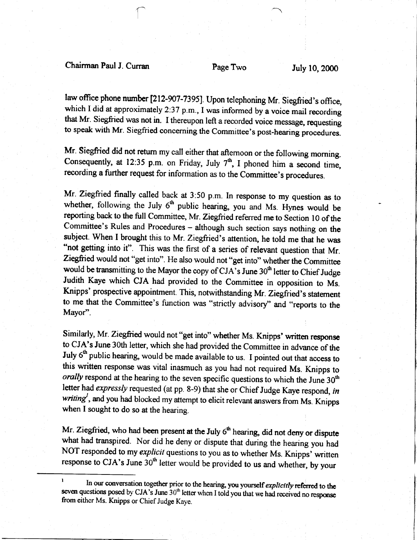### Chairman Paul J. Curran Page Two July 10,2000

 $\bigcap$ 

law office phone number [212-907-7395]. Upon telephoning Mr. Siegfried's office, which I did at approximately 2:37 p.m., I was informed by a voice mail recording that Mr. Siegfried was not in. I thereupon left a recorded voice message, requesting to speak with Mr. Siegfried concerning the Committee's post-hearing procedures.

Mr. Siegfried did not retum my call either that aftemoon or the following morning. Consequently, at 12:35 p.m. on Friday, July  $7<sup>th</sup>$ , I phoned him a second time, recording a further request for information as to the Committee's procedures.

Mr. ziegfried finally called back at 3:50 p.m. In response to my question as to whether, following the July  $6<sup>th</sup>$  public hearing, you and Ms. Hynes would be reporting back to the full Committee, Mr. Ziegfried referred me to Section 10 of the Committee's Rules and Procedures - although such section says nothing on the subject. When I brought this to Mr. Ziegfried's attention, he told me that he was "not getting into it". This was the first of a series of relevant question that Mr. Ziegfried would not "get into". He also would not "get into" whether the Committee would be transmitting to the Mayor the copy of CJA's June 30<sup>th</sup> letter to Chief Judge Judith Kaye which CJA had provided to the Committee in opposition to Ms. Knipps' prospective appointment. This, notwithstanding Mr. Ziegfried's statement to me that the Committee's function was "strictly advisory" and "reports to the Mayor".

Similarly, Mr. Ziegfried would not "get into" whether Ms. Knipps' written response to CJA's June 30th letter, which she had provided the Committee in advance of the July 6<sup>th</sup> public hearing, would be made available to us. I pointed out that access to this written response was vital inasmuch as you had not required Ms. Knipps to orally respond at the hearing to the seven specific questions to which the June  $30<sup>th</sup>$ letter had expressly requested (at pp. 8-9) that she or Chief Judge Kaye respond, in writing<sup>1</sup>, and you had blocked my attempt to elicit relevant answers from Ms. Knipps when I sought to do so at the hearing.

Mr. Ziegfried, who had been present at the July  $6<sup>th</sup>$  hearing, did not deny or dispute what had transpired. Nor did he deny or dispute that during the hearing you had NOT responded to my explicit questions to you as to whether Ms. Knipps' written response to CJA's June  $30<sup>th</sup>$  letter would be provided to us and whether, by your

 $t<sup>1</sup>$  [n our conversation together prior to the hearing, you yourself *explicitly* referred to the seven questions posed by CJA's June  $30<sup>th</sup>$  letter when I told you that we had received no response from either Ms. Knipps or Chief Judge Kaye.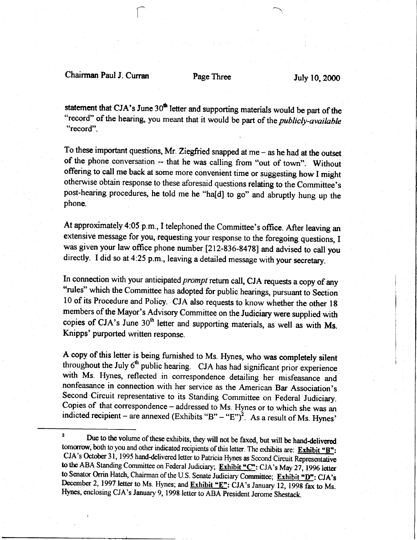### Chairman Paul J. Curran Page Three July 10, 2000

 $\bigcap_{i=1}^n$ 

statement that CJA's June 30<sup>th</sup> letter and supporting materials would be part of the "record" of the hearing, you meant that it would be part of the *publicly-available* "record".

To these important questions, Mr. Ziegfried snapped at  $me - as$  he had at the outset of the phone conversation -- that he was calling from "out of town". Without offering to call me back at some more convenient time or suggesting how I might otherwise obtain response to these aforesaid questions relating to the Committee's post-hearing procedures, he told me he "ha[d] to go" and abruptly hung up the phone.

At approximately 4:05 p.m., I telephoned the committee's office. After leaving an extensive message for you, requesting your response to the foregoing questions, I was given your law office phone number [212-836-8478] and advised to call you directly. I did so at 4:25 p.m., leaving a detailed message with your secretary.

In connection with your anticipated *prompt* return call, CJA requests a copy of any "rules" which the Committee has adopted for public hearings, pursuant to Section l0 of its Procedure and Policy. CJA also requests to know whether the other lg members of the Mayor's Advisory Committee on the Judiciary were supplied with copies of CJA's June  $30<sup>th</sup>$  letter and supporting materials, as well as with Ms. Knipps' purported written response.

A copy of this letter is being furnished to Ms. Hynes, who was completely silent throughout the July  $6<sup>th</sup>$  public hearing. CJA has had significant prior experience with Ms. Hynes, reflected in correspondence detailing her misfeasance and nonfeasance in connection with her service as the American Bar Association's Second Circuit representative to its Standing Committee on Federal Judiciary. Copies of that correspondence - addressed to Ms. Hynes or to which she was an indicted recipient – are annexed  $(Exhibits "B" - "E")<sup>2</sup>$ . As a result of Ms. Hynes'

<sup>&</sup>lt;sup>2</sup> Due to the volume of these exhibits, they will not be faxed, but will be hand-delivered tomorrow, both to you and other indicated recipients of this letter. The exhibits are: Exhibit " $B$ ": CJA's October 31, 1995 hand-delivered letter to Patricia Hynes as Second Circuit Representative to the ABA Standing Committee on Federal Judiciary; Exhibit."C": CJA's May 27, 1996 letter to Senator Orrin Hatch, Chairman of the U.S. Senate Judiciary Committee; Exhibit."D": CJA's December 2, 1997 letter to Ms. Hynes; and **Exhibit "E"**: CJA's January 12, 1998 fax to Ms. Hynes, enclosing CJA's January 9, 1998 letter to ABA Fresident Jerome Shestack.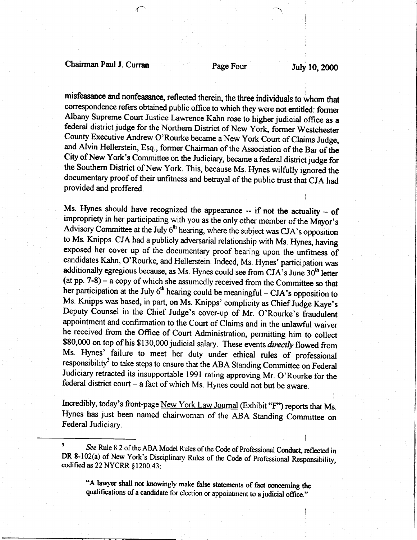# Chairman Paul J. Curran Page Four July 10, 2000

f

:

misfeasance md nonfeasance, reflected therein, the three individuals to whom that correspondence refers obtained public office to which they were not entitled: former Albany Supreme Court Justice Lawrence Kahn rose to higher judicial office as a federal district judge for the Northern District of New York, former Westchester County Executive Andrew O'Rourke became a New York Court of Claims Judge, and Alvin Hellerstein, Esq., former Chairman of the Association of the Bar of the City of New York's Committee on the Judiciary, became a federal distict judge for the Southern District of New York. This, because Ms. Hynes wilfully ignored the documentary proof of their unfitness and betrayal of the public trust ihat CJA had provided and proffered.

Ms. Hynes should have recognized the appearance  $-$  if not the actuality  $-$  of impropriety in her participating with you as the only other member of the Mayor's Advisory Committee at the July  $6<sup>th</sup>$  hearing, where the subject was CJA's opposition to Ms. Knipps. CJA had a publicly adversarial relationship with Ms. Hynes, having exposed her cover up of the documentary proof bearing upon the unfitness of candidates Kahn, O'Rourke, and Hellerstein. Indeed, Ms. Hynes' participation was additionally egregious because, as Ms. Hynes could see from CJA's June 30<sup>th</sup> letter (at pp. 7-8) - a copy of which she assumedly received from the Committee so that her participation at the July  $6<sup>th</sup>$  hearing could be meaningful – CJA's opposition to Ms. Knipps was based, in part, on Ms. Knipps' complicity as Chief Judge Kaye's Deputy Counsel in the Chief Judge's cover-up of Mr. O'Rourke's fraudulent appointment and confirmation to the Court of Claims and in the unlawful waiver he received from the Office of Court Administration, permitting him to collect \$80,000 on top of his \$130,000 judicial salary. These events directly flowed from Ms. Hynes' failure to meet her duty under ethical rules of professional responsibility<sup>3</sup> to take steps to ensure that the ABA Standing Committee on Federal Judiciary retracted its insupportable l99l rating approving Mr. O'Rourke for the federal district court  $-$  a fact of which Ms. Hynes could not but be aware.

Incredibly, today's front-page New York Law Joumal (Exhibit "F") reports that Ms. Hynes has just been named chairwoman of the ABA Standing Committee on Federal Judiciary.

"A lawyer shall not knowingly make false statements of fact concerning the qualifications of a candidate for election or appointment to a judicial office."

<sup>&</sup>lt;sup>3</sup> See Rule 8.2 of the ABA Model Rules of the Code of Professional Conduct, reflected in DR 8-102(a) of New York's Disciplinary Rules of the Code of Professional Responsibility, codified as  $22$  NYCRR  $$1200.43$ :